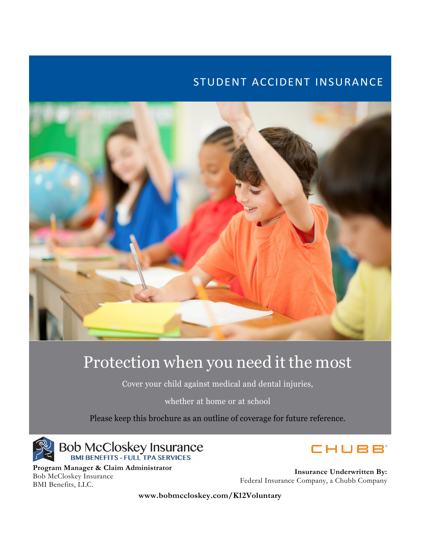# STUDENT ACCIDENT INSURANCE



# Protection when you need it the most

Cover your child against medical and dental injuries,

whether at home or at school

Please keep this brochure as an outline of coverage for future reference.



**Program Manager & Claim Administrator** Bob McCloskey Insurance BMI Benefits, LLC.

CHUBB

**Insurance Underwritten By:** Federal Insurance Company, a Chubb Company

**www.bobmccloskey.com/K12Voluntary**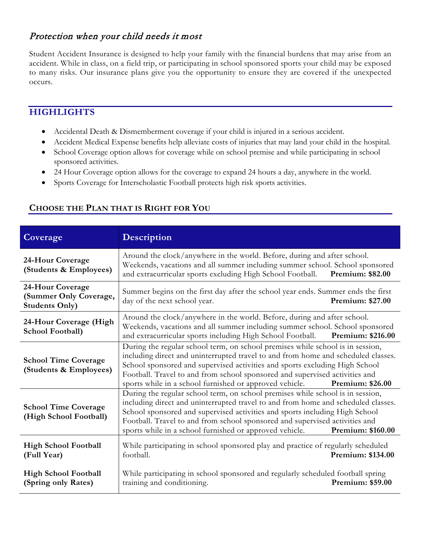## Protection when your child needs it most

Student Accident Insurance is designed to help your family with the financial burdens that may arise from an accident. While in class, on a field trip, or participating in school sponsored sports your child may be exposed to many risks. Our insurance plans give you the opportunity to ensure they are covered if the unexpected occurs.

## **HIGHLIGHTS**

- Accidental Death & Dismemberment coverage if your child is injured in a serious accident.
- Accident Medical Expense benefits help alleviate costs of injuries that may land your child in the hospital.
- School Coverage option allows for coverage while on school premise and while participating in school sponsored activities.
- 24 Hour Coverage option allows for the coverage to expand 24 hours a day, anywhere in the world.
- Sports Coverage for Interscholastic Football protects high risk sports activities.

| Coverage                                                            | Description                                                                                                                                                                                                                                                                                                                                                                                                              |                         |
|---------------------------------------------------------------------|--------------------------------------------------------------------------------------------------------------------------------------------------------------------------------------------------------------------------------------------------------------------------------------------------------------------------------------------------------------------------------------------------------------------------|-------------------------|
| 24-Hour Coverage<br>(Students & Employees)                          | Around the clock/anywhere in the world. Before, during and after school.<br>Weekends, vacations and all summer including summer school. School sponsored<br>and extracurricular sports excluding High School Football.<br>Premium: \$82.00                                                                                                                                                                               |                         |
| 24-Hour Coverage<br>(Summer Only Coverage,<br><b>Students Only)</b> | Summer begins on the first day after the school year ends. Summer ends the first<br>day of the next school year.                                                                                                                                                                                                                                                                                                         | <b>Premium: \$27.00</b> |
| 24-Hour Coverage (High<br><b>School Football)</b>                   | Around the clock/anywhere in the world. Before, during and after school.<br>Weekends, vacations and all summer including summer school. School sponsored<br>and extracurricular sports including High School Football.                                                                                                                                                                                                   | Premium: \$216.00       |
| <b>School Time Coverage</b><br>(Students & Employees)               | During the regular school term, on school premises while school is in session,<br>including direct and uninterrupted travel to and from home and scheduled classes.<br>School sponsored and supervised activities and sports excluding High School<br>Football. Travel to and from school sponsored and supervised activities and<br>sports while in a school furnished or approved vehicle.<br>Premium: \$26.00         |                         |
| <b>School Time Coverage</b><br>(High School Football)               | During the regular school term, on school premises while school is in session,<br>including direct and uninterrupted travel to and from home and scheduled classes.<br>School sponsored and supervised activities and sports including High School<br>Football. Travel to and from school sponsored and supervised activities and<br>sports while in a school furnished or approved vehicle.<br><b>Premium: \$160.00</b> |                         |
| <b>High School Football</b><br>(Full Year)                          | While participating in school sponsored play and practice of regularly scheduled<br>football.                                                                                                                                                                                                                                                                                                                            | Premium: \$134.00       |
| <b>High School Football</b><br>(Spring only Rates)                  | While participating in school sponsored and regularly scheduled football spring<br>training and conditioning.                                                                                                                                                                                                                                                                                                            | <b>Premium: \$59.00</b> |

## **CHOOSE THE PLAN THAT IS RIGHT FOR YOU**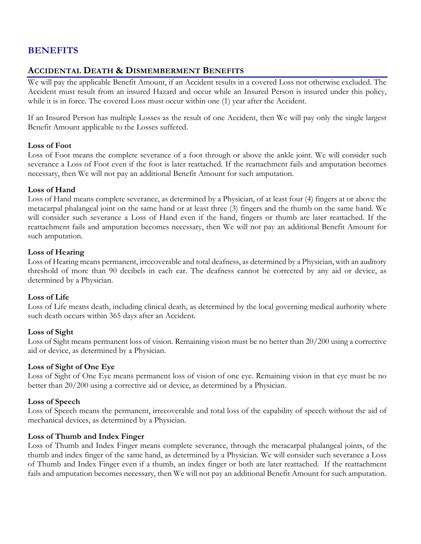## **BENEFITS**

#### **ACCIDENTAL DEATH & DISMEMBERMENT BENEFITS**

We will pay the applicable Benefit Amount, if an Accident results in a covered Loss not otherwise excluded. The Accident must result from an insured Hazard and occur while an Insured Person is insured under this policy, while it is in force. The covered Loss must occur within one (1) year after the Accident.

If an Insured Person has multiple Losses as the result of one Accident, then We will pay only the single largest Benefit Amount applicable to the Losses suffered.

#### **Loss of Foot**

Loss of Foot means the complete severance of a foot through or above the ankle joint. We will consider such severance a Loss of Foot even if the foot is later reattached. If the reattachment fails and amputation becomes necessary, then We will not pay an additional Benefit Amount for such amputation.

#### **Loss of Hand**

Loss of Hand means complete severance, as determined by a Physician, of at least four (4) fingers at or above the metacarpal phalangeal joint on the same hand or at least three (3) fingers and the thumb on the same hand. We will consider such severance a Loss of Hand even if the hand, fingers or thumb are later reattached. If the reattachment fails and amputation becomes necessary, then We will not pay an additional Benefit Amount for such amputation.

#### **Loss of Hearing**

Loss of Hearing means permanent, irrecoverable and total deafness, as determined by a Physician, with an auditory threshold of more than 90 decibels in each ear. The deafness cannot be corrected by any aid or device, as determined by a Physician.

#### **Loss of Life**

Loss of Life means death, including clinical death, as determined by the local governing medical authority where such death occurs within 365 days after an Accident.

#### **Loss of Sight**

Loss of Sight means permanent loss of vision. Remaining vision must be no better than 20/200 using a corrective aid or device, as determined by a Physician.

#### **Loss of Sight of One Eye**

Loss of Sight of One Eye means permanent loss of vision of one eye. Remaining vision in that eye must be no better than 20/200 using a corrective aid or device, as determined by a Physician.

#### **Loss of Speech**

Loss of Speech means the permanent, irrecoverable and total loss of the capability of speech without the aid of mechanical devices, as determined by a Physician.

#### **Loss of Thumb and Index Finger**

Loss of Thumb and Index Finger means complete severance, through the metacarpal phalangeal joints, of the thumb and index finger of the same hand, as determined by a Physician. We will consider such severance a Loss of Thumb and Index Finger even if a thumb, an index finger or both are later reattached. If the reattachment fails and amputation becomes necessary, then We will not pay an additional Benefit Amount for such amputation.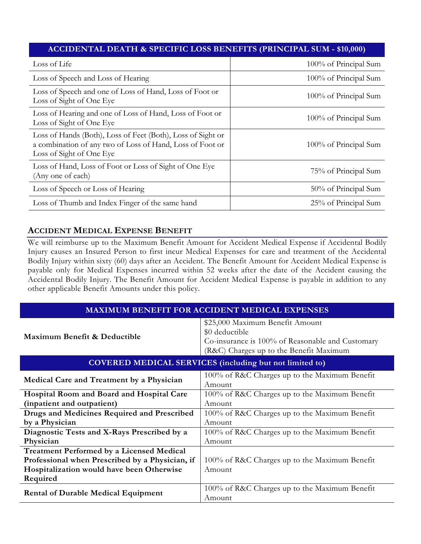#### **ACCIDENTAL DEATH & SPECIFIC LOSS BENEFITS (PRINCIPAL SUM - \$10,000)**

| Loss of Life                                                                                                                                         | 100% of Principal Sum |
|------------------------------------------------------------------------------------------------------------------------------------------------------|-----------------------|
| Loss of Speech and Loss of Hearing                                                                                                                   | 100% of Principal Sum |
| Loss of Speech and one of Loss of Hand, Loss of Foot or<br>Loss of Sight of One Eye                                                                  | 100% of Principal Sum |
| Loss of Hearing and one of Loss of Hand, Loss of Foot or<br>Loss of Sight of One Eye                                                                 | 100% of Principal Sum |
| Loss of Hands (Both), Loss of Feet (Both), Loss of Sight or<br>a combination of any two of Loss of Hand, Loss of Foot or<br>Loss of Sight of One Eye | 100% of Principal Sum |
| Loss of Hand, Loss of Foot or Loss of Sight of One Eye<br>(Any one of each)                                                                          | 75% of Principal Sum  |
| Loss of Speech or Loss of Hearing                                                                                                                    | 50% of Principal Sum  |
| Loss of Thumb and Index Finger of the same hand                                                                                                      | 25% of Principal Sum  |

#### **ACCIDENT MEDICAL EXPENSE BENEFIT**

We will reimburse up to the Maximum Benefit Amount for Accident Medical Expense if Accidental Bodily Injury causes an Insured Person to first incur Medical Expenses for care and treatment of the Accidental Bodily Injury within sixty (60) days after an Accident. The Benefit Amount for Accident Medical Expense is payable only for Medical Expenses incurred within 52 weeks after the date of the Accident causing the Accidental Bodily Injury. The Benefit Amount for Accident Medical Expense is payable in addition to any other applicable Benefit Amounts under this policy.

| <b>MAXIMUM BENEFIT FOR ACCIDENT MEDICAL EXPENSES</b>                                                                                                         |                                                                                                                                                  |  |  |  |
|--------------------------------------------------------------------------------------------------------------------------------------------------------------|--------------------------------------------------------------------------------------------------------------------------------------------------|--|--|--|
| Maximum Benefit & Deductible                                                                                                                                 | \$25,000 Maximum Benefit Amount<br>\$0 deductible<br>Co-insurance is 100% of Reasonable and Customary<br>(R&C) Charges up to the Benefit Maximum |  |  |  |
| <b>COVERED MEDICAL SERVICES</b> (including but not limited to)                                                                                               |                                                                                                                                                  |  |  |  |
| Medical Care and Treatment by a Physician                                                                                                                    | 100% of R&C Charges up to the Maximum Benefit<br>Amount                                                                                          |  |  |  |
| Hospital Room and Board and Hospital Care<br>(inpatient and outpatient)                                                                                      | 100% of R&C Charges up to the Maximum Benefit<br>Amount                                                                                          |  |  |  |
| Drugs and Medicines Required and Prescribed<br>by a Physician                                                                                                | 100% of R&C Charges up to the Maximum Benefit<br>Amount                                                                                          |  |  |  |
| Diagnostic Tests and X-Rays Prescribed by a<br>Physician                                                                                                     | 100% of R&C Charges up to the Maximum Benefit<br>Amount                                                                                          |  |  |  |
| <b>Treatment Performed by a Licensed Medical</b><br>Professional when Prescribed by a Physician, if<br>Hospitalization would have been Otherwise<br>Required | 100% of R&C Charges up to the Maximum Benefit<br>Amount                                                                                          |  |  |  |
| <b>Rental of Durable Medical Equipment</b>                                                                                                                   | 100% of R&C Charges up to the Maximum Benefit<br>Amount                                                                                          |  |  |  |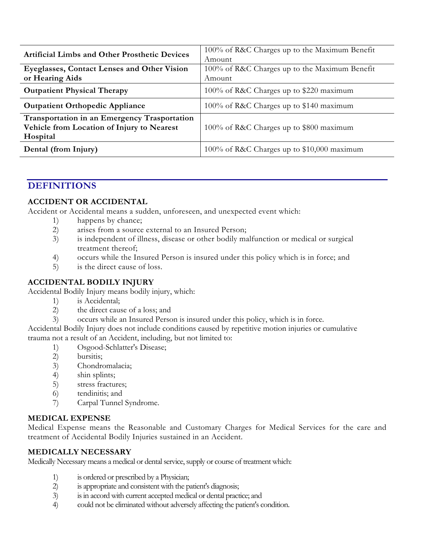| <b>Artificial Limbs and Other Prosthetic Devices</b>                                                   | 100% of R&C Charges up to the Maximum Benefit<br>Amount |
|--------------------------------------------------------------------------------------------------------|---------------------------------------------------------|
| Eyeglasses, Contact Lenses and Other Vision<br>or Hearing Aids                                         | 100% of R&C Charges up to the Maximum Benefit<br>Amount |
| <b>Outpatient Physical Therapy</b>                                                                     | 100% of R&C Charges up to \$220 maximum                 |
| <b>Outpatient Orthopedic Appliance</b>                                                                 | 100% of R&C Charges up to \$140 maximum                 |
| Transportation in an Emergency Trasportation<br>Vehicle from Location of Injury to Nearest<br>Hospital | 100% of R&C Charges up to \$800 maximum                 |
| Dental (from Injury)                                                                                   | 100% of R&C Charges up to \$10,000 maximum              |

## **DEFINITIONS**

#### **ACCIDENT OR ACCIDENTAL**

Accident or Accidental means a sudden, unforeseen, and unexpected event which:

- 1) happens by chance;
- 2) arises from a source external to an Insured Person;
- 3) is independent of illness, disease or other bodily malfunction or medical or surgical treatment thereof;
- 4) occurs while the Insured Person is insured under this policy which is in force; and
- 5) is the direct cause of loss.

#### **ACCIDENTAL BODILY INJURY**

Accidental Bodily Injury means bodily injury, which:

- 1) is Accidental;
- 2) the direct cause of a loss; and
- 3) occurs while an Insured Person is insured under this policy, which is in force.

Accidental Bodily Injury does not include conditions caused by repetitive motion injuries or cumulative trauma not a result of an Accident, including, but not limited to:

- 1) Osgood-Schlatter's Disease;
- 2) bursitis;
- 3) Chondromalacia;
- 4) shin splints;
- 5) stress fractures;
- 6) tendinitis; and
- 7) Carpal Tunnel Syndrome.

#### **MEDICAL EXPENSE**

Medical Expense means the Reasonable and Customary Charges for Medical Services for the care and treatment of Accidental Bodily Injuries sustained in an Accident.

#### **MEDICALLY NECESSARY**

Medically Necessary means a medical or dental service, supply or course of treatment which:

- 1) is ordered or prescribed by a Physician;
- 2) is appropriate and consistent with the patient's diagnosis;
- 3) is in accord with current accepted medical or dental practice; and
- 4) could not be eliminated without adversely affecting the patient's condition.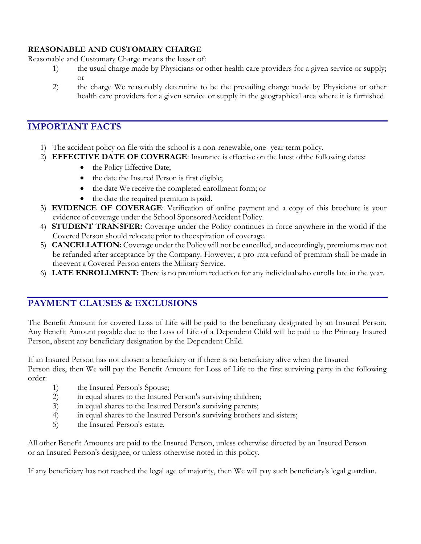#### **REASONABLE AND CUSTOMARY CHARGE**

Reasonable and Customary Charge means the lesser of:

- 1) the usual charge made by Physicians or other health care providers for a given service or supply; or
- 2) the charge We reasonably determine to be the prevailing charge made by Physicians or other health care providers for a given service or supply in the geographical area where it is furnished

## **IMPORTANT FACTS**

- 1) The accident policy on file with the school is a non-renewable, one- year term policy.
- 2) **EFFECTIVE DATE OF COVERAGE**: Insurance is effective on the latest ofthe following dates:
	- the Policy Effective Date;
	- the date the Insured Person is first eligible;
	- the date We receive the completed enrollment form; or
	- the date the required premium is paid.
- 3) **EVIDENCE OF COVERAGE**: Verification of online payment and a copy of this brochure is your evidence of coverage under the School SponsoredAccident Policy.
- 4) **STUDENT TRANSFER:** Coverage under the Policy continues in force anywhere in the world if the Covered Person should relocate prior to theexpiration of coverage.
- 5) **CANCELLATION:** Coverage under the Policy will not be cancelled, and accordingly, premiums may not be refunded after acceptance by the Company. However, a pro-rata refund of premium shall be made in theevent a Covered Person enters the Military Service.
- 6) **LATE ENROLLMENT:** There is no premium reduction for any individualwho enrolls late in the year.

## **PAYMENT CLAUSES & EXCLUSIONS**

The Benefit Amount for covered Loss of Life will be paid to the beneficiary designated by an Insured Person. Any Benefit Amount payable due to the Loss of Life of a Dependent Child will be paid to the Primary Insured Person, absent any beneficiary designation by the Dependent Child.

If an Insured Person has not chosen a beneficiary or if there is no beneficiary alive when the Insured Person dies, then We will pay the Benefit Amount for Loss of Life to the first surviving party in the following order:

- 1) the Insured Person's Spouse;
- 2) in equal shares to the Insured Person's surviving children;
- 3) in equal shares to the Insured Person's surviving parents;
- 4) in equal shares to the Insured Person's surviving brothers and sisters;
- 5) the Insured Person's estate.

All other Benefit Amounts are paid to the Insured Person, unless otherwise directed by an Insured Person or an Insured Person's designee, or unless otherwise noted in this policy.

If any beneficiary has not reached the legal age of majority, then We will pay such beneficiary's legal guardian.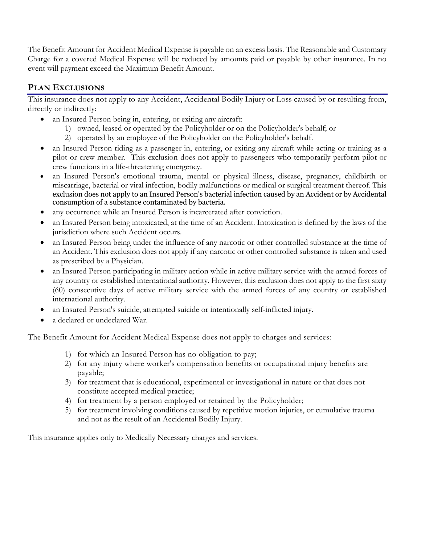The Benefit Amount for Accident Medical Expense is payable on an excess basis. The Reasonable and Customary Charge for a covered Medical Expense will be reduced by amounts paid or payable by other insurance. In no event will payment exceed the Maximum Benefit Amount.

## **PLAN EXCLUSIONS**

This insurance does not apply to any Accident, Accidental Bodily Injury or Loss caused by or resulting from, directly or indirectly:

- an Insured Person being in, entering, or exiting any aircraft:
	- 1) owned, leased or operated by the Policyholder or on the Policyholder's behalf; or
	- 2) operated by an employee of the Policyholder on the Policyholder's behalf.
- an Insured Person riding as a passenger in, entering, or exiting any aircraft while acting or training as a pilot or crew member. This exclusion does not apply to passengers who temporarily perform pilot or crew functions in a life-threatening emergency.
- an Insured Person's emotional trauma, mental or physical illness, disease, pregnancy, childbirth or miscarriage, bacterial or viral infection, bodily malfunctions or medical or surgical treatment thereof. This exclusion does not apply to an Insured Person's bacterial infection caused by an Accident or by Accidental consumption of a substance contaminated by bacteria.
- any occurrence while an Insured Person is incarcerated after conviction.
- an Insured Person being intoxicated, at the time of an Accident. Intoxication is defined by the laws of the jurisdiction where such Accident occurs.
- an Insured Person being under the influence of any narcotic or other controlled substance at the time of an Accident. This exclusion does not apply if any narcotic or other controlled substance is taken and used as prescribed by a Physician.
- an Insured Person participating in military action while in active military service with the armed forces of any country or established international authority. However, this exclusion does not apply to the first sixty (60) consecutive days of active military service with the armed forces of any country or established international authority.
- an Insured Person's suicide, attempted suicide or intentionally self-inflicted injury.
- a declared or undeclared War.

The Benefit Amount for Accident Medical Expense does not apply to charges and services:

- 1) for which an Insured Person has no obligation to pay;
- 2) for any injury where worker's compensation benefits or occupational injury benefits are payable;
- 3) for treatment that is educational, experimental or investigational in nature or that does not constitute accepted medical practice;
- 4) for treatment by a person employed or retained by the Policyholder;
- 5) for treatment involving conditions caused by repetitive motion injuries, or cumulative trauma and not as the result of an Accidental Bodily Injury.

This insurance applies only to Medically Necessary charges and services.